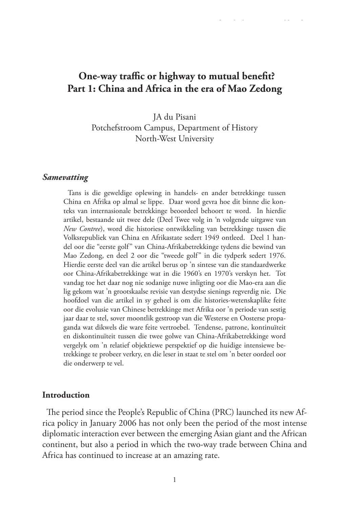# **One-way traffic or highway to mutual benefit? Part 1: China and Africa in the era of Mao Zedong**

JA du Pisani Potchefstroom Campus, Department of History North-West University

#### *Samevatting*

Tans is die geweldige oplewing in handels- en ander betrekkinge tussen China en Afrika op almal se lippe. Daar word gevra hoe dit binne die konteks van internasionale betrekkinge beoordeel behoort te word. In hierdie artikel, bestaande uit twee dele (Deel Twee volg in 'n volgende uitgawe van *New Contree*), word die historiese ontwikkeling van betrekkinge tussen die Volksrepubliek van China en Afrikastate sedert 1949 ontleed. Deel 1 handel oor die "eerste golf" van China-Afrikabetrekkinge tydens die bewind van Mao Zedong, en deel 2 oor die "tweede golf" in die tydperk sedert 1976. Hierdie eerste deel van die artikel berus op 'n sintese van die standaardwerke oor China-Afrikabetrekkinge wat in die 1960's en 1970's verskyn het. Tot vandag toe het daar nog nie sodanige nuwe inligting oor die Mao-era aan die lig gekom wat 'n grootskaalse revisie van destydse sienings regverdig nie. Die hoofdoel van die artikel in sy geheel is om die histories-wetenskaplike feite oor die evolusie van Chinese betrekkinge met Afrika oor 'n periode van sestig jaar daar te stel, sover moontlik gestroop van die Westerse en Oosterse propaganda wat dikwels die ware feite vertroebel. Tendense, patrone, kontinuïteit en diskontinuïteit tussen die twee golwe van China-Afrikabetrekkinge word vergelyk om 'n relatief objektiewe perspektief op die huidige intensiewe betrekkinge te probeer verkry, en die leser in staat te stel om 'n beter oordeel oor die onderwerp te vel.

#### **Introduction**

The period since the People's Republic of China (PRC) launched its new Africa policy in January 2006 has not only been the period of the most intense diplomatic interaction ever between the emerging Asian giant and the African continent, but also a period in which the two-way trade between China and Africa has continued to increase at an amazing rate.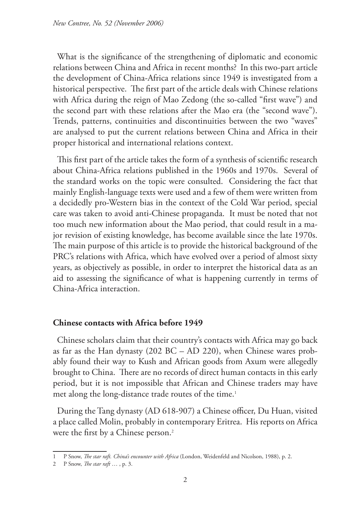What is the significance of the strengthening of diplomatic and economic relations between China and Africa in recent months? In this two-part article the development of China-Africa relations since 1949 is investigated from a historical perspective. The first part of the article deals with Chinese relations with Africa during the reign of Mao Zedong (the so-called "first wave") and the second part with these relations after the Mao era (the "second wave"). Trends, patterns, continuities and discontinuities between the two "waves" are analysed to put the current relations between China and Africa in their proper historical and international relations context.

This first part of the article takes the form of a synthesis of scientific research about China-Africa relations published in the 1960s and 1970s. Several of the standard works on the topic were consulted. Considering the fact that mainly English-language texts were used and a few of them were written from a decidedly pro-Western bias in the context of the Cold War period, special care was taken to avoid anti-Chinese propaganda. It must be noted that not too much new information about the Mao period, that could result in a major revision of existing knowledge, has become available since the late 1970s. The main purpose of this article is to provide the historical background of the PRC's relations with Africa, which have evolved over a period of almost sixty years, as objectively as possible, in order to interpret the historical data as an aid to assessing the significance of what is happening currently in terms of China-Africa interaction.

#### **Chinese contacts with Africa before 1949**

Chinese scholars claim that their country's contacts with Africa may go back as far as the Han dynasty (202 BC – AD 220), when Chinese wares probably found their way to Kush and African goods from Axum were allegedly brought to China. There are no records of direct human contacts in this early period, but it is not impossible that African and Chinese traders may have met along the long-distance trade routes of the time.<sup>1</sup>

During the Tang dynasty (AD 618-907) a Chinese officer, Du Huan, visited a place called Molin, probably in contemporary Eritrea. His reports on Africa were the first by a Chinese person.<sup>2</sup>

<sup>1</sup> P Snow, *The star raft. China's encounter with Africa* (London, Weidenfeld and Nicolson, 1988), p. 2.

<sup>2</sup> P Snow, *The star raft* … , p. 3.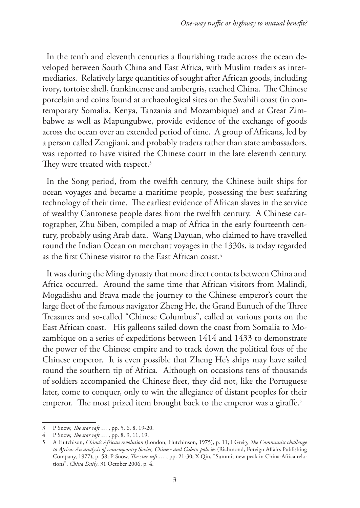In the tenth and eleventh centuries a flourishing trade across the ocean developed between South China and East Africa, with Muslim traders as intermediaries. Relatively large quantities of sought after African goods, including ivory, tortoise shell, frankincense and ambergris, reached China. The Chinese porcelain and coins found at archaeological sites on the Swahili coast (in contemporary Somalia, Kenya, Tanzania and Mozambique) and at Great Zimbabwe as well as Mapungubwe, provide evidence of the exchange of goods across the ocean over an extended period of time. A group of Africans, led by a person called Zengjiani, and probably traders rather than state ambassadors, was reported to have visited the Chinese court in the late eleventh century. They were treated with respect.<sup>3</sup>

In the Song period, from the twelfth century, the Chinese built ships for ocean voyages and became a maritime people, possessing the best seafaring technology of their time. The earliest evidence of African slaves in the service of wealthy Cantonese people dates from the twelfth century. A Chinese cartographer, Zhu Siben, compiled a map of Africa in the early fourteenth century, probably using Arab data. Wang Dayuan, who claimed to have travelled round the Indian Ocean on merchant voyages in the 1330s, is today regarded as the first Chinese visitor to the East African coast.4

It was during the Ming dynasty that more direct contacts between China and Africa occurred. Around the same time that African visitors from Malindi, Mogadishu and Brava made the journey to the Chinese emperor's court the large fleet of the famous navigator Zheng He, the Grand Eunuch of the Three Treasures and so-called "Chinese Columbus", called at various ports on the East African coast. His galleons sailed down the coast from Somalia to Mozambique on a series of expeditions between 1414 and 1433 to demonstrate the power of the Chinese empire and to track down the political foes of the Chinese emperor. It is even possible that Zheng He's ships may have sailed round the southern tip of Africa. Although on occasions tens of thousands of soldiers accompanied the Chinese fleet, they did not, like the Portuguese later, come to conquer, only to win the allegiance of distant peoples for their emperor. The most prized item brought back to the emperor was a giraffe.<sup>5</sup>

<sup>3</sup> P Snow, *The star raft* … , pp. 5, 6, 8, 19-20.

<sup>4</sup> P Snow, *The star raft* … , pp. 8, 9, 11, 19.

<sup>5</sup> A Hutchison, *China's African revolution* (London, Hutchinson, 1975), p. 11; I Greig, *The Communist challenge to Africa: An analysis of contemporary Soviet, Chinese and Cuban policies* (Richmond, Foreign Affairs Publishing Company, 1977), p. 58; P Snow, *The star raft* … , pp. 21-30; X Qin, "Summit new peak in China-Africa relations", *China Daily*, 31 October 2006, p. 4.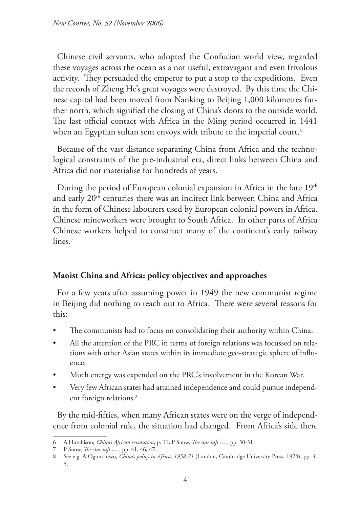Chinese civil servants, who adopted the Confucian world view, regarded these voyages across the ocean as a not useful, extravagant and even frivolous activity. They persuaded the emperor to put a stop to the expeditions. Even the records of Zheng He's great voyages were destroyed. By this time the Chinese capital had been moved from Nanking to Beijing 1,000 kilometres further north, which signified the closing of China's doors to the outside world. The last official contact with Africa in the Ming period occurred in 1441 when an Egyptian sultan sent envoys with tribute to the imperial court.<sup>6</sup>

Because of the vast distance separating China from Africa and the technological constraints of the pre-industrial era, direct links between China and Africa did not materialise for hundreds of years.

During the period of European colonial expansion in Africa in the late 19<sup>th</sup> and early 20<sup>th</sup> centuries there was an indirect link between China and Africa in the form of Chinese labourers used by European colonial powers in Africa. Chinese mineworkers were brought to South Africa. In other parts of Africa Chinese workers helped to construct many of the continent's early railway lines.<sup>7</sup>

## **Maoist China and Africa: policy objectives and approaches**

For a few years after assuming power in 1949 the new communist regime in Beijing did nothing to reach out to Africa. There were several reasons for this:

- The communists had to focus on consolidating their authority within China.
- All the attention of the PRC in terms of foreign relations was focussed on relations with other Asian states within its immediate geo-strategic sphere of influence.
- Much energy was expended on the PRC's involvement in the Korean War.
- Very few African states had attained independence and could pursue independent foreign relations.<sup>8</sup>

By the mid-fifties, when many African states were on the verge of independence from colonial rule, the situation had changed. From Africa's side there

<sup>6</sup> A Hutchison, *China's African revolution*, p. 11; P Snow, *The star raft* … , pp. 30-31.

<sup>7</sup> P Snow, *The star raft* … , pp. 41, 46, 47.

<sup>8</sup> See e.g. A Ogunsanwo, *China's policy in Africa, 1958-71* (London, Cambridge University Press, 1974), pp. 4- 5.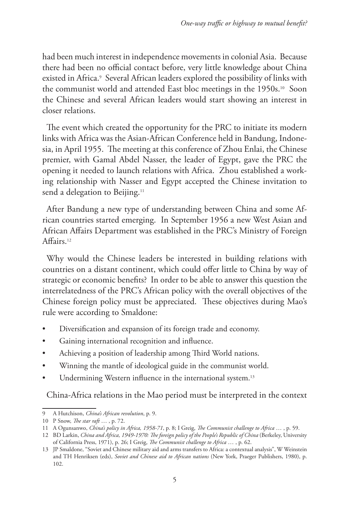had been much interest in independence movements in colonial Asia. Because there had been no official contact before, very little knowledge about China existed in Africa.<sup>,</sup> Several African leaders explored the possibility of links with the communist world and attended East bloc meetings in the 1950s.<sup>10</sup> Soon the Chinese and several African leaders would start showing an interest in closer relations.

The event which created the opportunity for the PRC to initiate its modern links with Africa was the Asian-African Conference held in Bandung, Indonesia, in April 1955. The meeting at this conference of Zhou Enlai, the Chinese premier, with Gamal Abdel Nasser, the leader of Egypt, gave the PRC the opening it needed to launch relations with Africa. Zhou established a working relationship with Nasser and Egypt accepted the Chinese invitation to send a delegation to Beijing.<sup>11</sup>

After Bandung a new type of understanding between China and some African countries started emerging. In September 1956 a new West Asian and African Affairs Department was established in the PRC's Ministry of Foreign Affairs.12

Why would the Chinese leaders be interested in building relations with countries on a distant continent, which could offer little to China by way of strategic or economic benefits? In order to be able to answer this question the interrelatedness of the PRC's African policy with the overall objectives of the Chinese foreign policy must be appreciated. These objectives during Mao's rule were according to Smaldone:

- Diversification and expansion of its foreign trade and economy.
- Gaining international recognition and influence.
- Achieving a position of leadership among Third World nations.
- Winning the mantle of ideological guide in the communist world.
- Undermining Western influence in the international system.<sup>13</sup>

China-Africa relations in the Mao period must be interpreted in the context

<sup>9</sup> A Hutchison, *China's African revolution*, p. 9.

<sup>10</sup> P Snow, *The star raft* … , p. 72.

<sup>11</sup> A Ogunsanwo, *China's policy in Africa, 1958-71*, p. 8; I Greig, *The Communist challenge to Africa* … , p. 59.

<sup>12</sup> BD Larkin, *China and Africa, 1949-1970: The foreign policy of the People's Republic of China* (Berkeley, University of California Press, 1971), p. 26; I Greig, *The Communist challenge to Africa* … , p. 62.

<sup>13</sup> JP Smaldone, "Soviet and Chinese military aid and arms transfers to Africa: a contextual analysis", W Weinstein and TH Henriksen (eds), *Soviet and Chinese aid to African nations* (New York, Praeger Publishers, 1980), p. 102.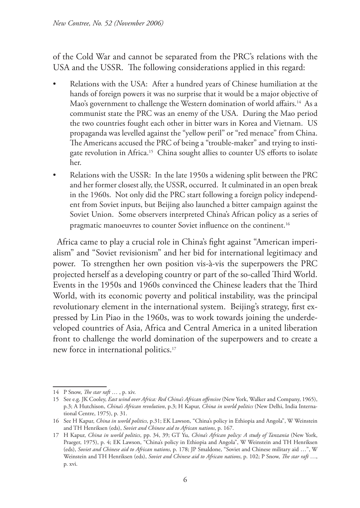of the Cold War and cannot be separated from the PRC's relations with the USA and the USSR. The following considerations applied in this regard:

- Relations with the USA: After a hundred years of Chinese humiliation at the hands of foreign powers it was no surprise that it would be a major objective of Mao's government to challenge the Western domination of world affairs.<sup>14</sup> As a communist state the PRC was an enemy of the USA. During the Mao period the two countries fought each other in bitter wars in Korea and Vietnam. US propaganda was levelled against the "yellow peril" or "red menace" from China. The Americans accused the PRC of being a "trouble-maker" and trying to instigate revolution in Africa.<sup>15</sup> China sought allies to counter US efforts to isolate her.
- Relations with the USSR: In the late 1950s a widening split between the PRC and her former closest ally, the USSR, occurred. It culminated in an open break in the 1960s. Not only did the PRC start following a foreign policy independent from Soviet inputs, but Beijing also launched a bitter campaign against the Soviet Union. Some observers interpreted China's African policy as a series of pragmatic manoeuvres to counter Soviet influence on the continent.<sup>16</sup>

Africa came to play a crucial role in China's fight against "American imperialism" and "Soviet revisionism" and her bid for international legitimacy and power. To strengthen her own position vis-à-vis the superpowers the PRC projected herself as a developing country or part of the so-called Third World. Events in the 1950s and 1960s convinced the Chinese leaders that the Third World, with its economic poverty and political instability, was the principal revolutionary element in the international system. Beijing's strategy, first expressed by Lin Piao in the 1960s, was to work towards joining the underdeveloped countries of Asia, Africa and Central America in a united liberation front to challenge the world domination of the superpowers and to create a new force in international politics.17

<sup>14</sup> P Snow, *The star raft* … , p. xiv.

<sup>15</sup> See e.g. JK Cooley, *East wind over Africa: Red China's African offensive* (New York, Walker and Company, 1965), p.3; A Hutchison, *China's African revolution*, p.3; H Kapur, *China in world politics* (New Delhi, India International Centre, 1975), p. 31.

<sup>16</sup> See H Kapur, *China in world politics*, p.31; EK Lawson, "China's policy in Ethiopia and Angola", W Weinstein and TH Henriksen (eds), *Soviet and Chinese aid to African nations*, p. 167.

<sup>17</sup> H Kapur, *China in world politics*, pp. 34, 39; GT Yu, *China's African policy: A study of Tanzania* (New York, Praeger, 1975), p. 4; EK Lawson, "China's policy in Ethiopia and Angola", W Weinstein and TH Henriksen (eds), *Soviet and Chinese aid to African nations*, p. 178; JP Smaldone, "Soviet and Chinese military aid …", W Weinstein and TH Henriksen (eds), *Soviet and Chinese aid to African nations*, p. 102; P Snow, *The star raft* …, p. xvi.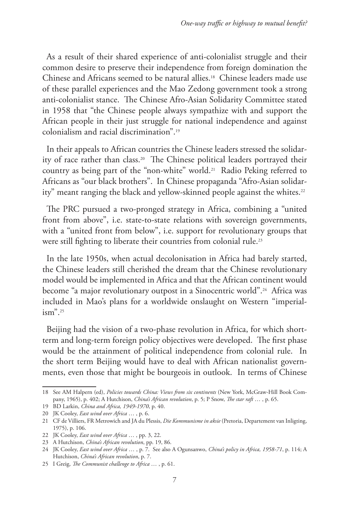As a result of their shared experience of anti-colonialist struggle and their common desire to preserve their independence from foreign domination the Chinese and Africans seemed to be natural allies.18 Chinese leaders made use of these parallel experiences and the Mao Zedong government took a strong anti-colonialist stance. The Chinese Afro-Asian Solidarity Committee stated in 1958 that "the Chinese people always sympathize with and support the African people in their just struggle for national independence and against colonialism and racial discrimination".19

In their appeals to African countries the Chinese leaders stressed the solidarity of race rather than class.20 The Chinese political leaders portrayed their country as being part of the "non-white" world.21 Radio Peking referred to Africans as "our black brothers". In Chinese propaganda "Afro-Asian solidarity" meant ranging the black and yellow-skinned people against the whites.<sup>22</sup>

The PRC pursued a two-pronged strategy in Africa, combining a "united front from above", i.e. state-to-state relations with sovereign governments, with a "united front from below", i.e. support for revolutionary groups that were still fighting to liberate their countries from colonial rule.<sup>23</sup>

In the late 1950s, when actual decolonisation in Africa had barely started, the Chinese leaders still cherished the dream that the Chinese revolutionary model would be implemented in Africa and that the African continent would become "a major revolutionary outpost in a Sinocentric world".<sup>24</sup> Africa was included in Mao's plans for a worldwide onslaught on Western "imperial $ism$ ".<sup>25</sup>

Beijing had the vision of a two-phase revolution in Africa, for which shortterm and long-term foreign policy objectives were developed. The first phase would be the attainment of political independence from colonial rule. In the short term Beijing would have to deal with African nationalist governments, even those that might be bourgeois in outlook. In terms of Chinese

<sup>18</sup> See AM Halpern (ed), *Policies towards China: Views from six continents* (New York, McGraw-Hill Book Company, 1965), p. 402; A Hutchison, *China's African revolution*, p. 5; P Snow, *The star raft* … , p. 65.

<sup>19</sup> BD Larkin, *China and Africa, 1949-1970*, p. 40.

<sup>20</sup> JK Cooley, *East wind over Africa* … , p. 6.

<sup>21</sup> CF de Villiers, FR Metrowich and JA du Plessis, *Die Kommunisme in aksie* (Pretoria, Departement van Inligting, 1975), p. 106.

<sup>22</sup> JK Cooley, *East wind over Africa* … , pp. 3, 22.

<sup>23</sup> A Hutchison, *China's African revolution*, pp. 19, 86.

<sup>24</sup> JK Cooley, *East wind over Africa* … , p. 7. See also A Ogunsanwo, *China's policy in Africa, 1958-71*, p. 114; A Hutchison, *China's African revolution*, p. 7.

<sup>25</sup> I Greig, *The Communist challenge to Africa* … , p. 61.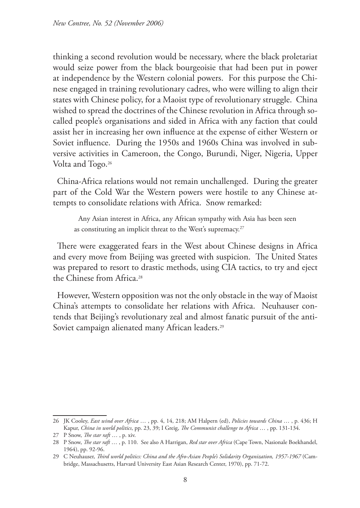thinking a second revolution would be necessary, where the black proletariat would seize power from the black bourgeoisie that had been put in power at independence by the Western colonial powers. For this purpose the Chinese engaged in training revolutionary cadres, who were willing to align their states with Chinese policy, for a Maoist type of revolutionary struggle. China wished to spread the doctrines of the Chinese revolution in Africa through socalled people's organisations and sided in Africa with any faction that could assist her in increasing her own influence at the expense of either Western or Soviet influence. During the 1950s and 1960s China was involved in subversive activities in Cameroon, the Congo, Burundi, Niger, Nigeria, Upper Volta and Togo.<sup>26</sup>

China-Africa relations would not remain unchallenged. During the greater part of the Cold War the Western powers were hostile to any Chinese attempts to consolidate relations with Africa. Snow remarked:

Any Asian interest in Africa, any African sympathy with Asia has been seen as constituting an implicit threat to the West's supremacy.<sup>27</sup>

There were exaggerated fears in the West about Chinese designs in Africa and every move from Beijing was greeted with suspicion. The United States was prepared to resort to drastic methods, using CIA tactics, to try and eject the Chinese from Africa.28

However, Western opposition was not the only obstacle in the way of Maoist China's attempts to consolidate her relations with Africa. Neuhauser contends that Beijing's revolutionary zeal and almost fanatic pursuit of the anti-Soviet campaign alienated many African leaders.<sup>29</sup>

<sup>26</sup> JK Cooley, *East wind over Africa* … , pp. 4, 14, 218; AM Halpern (ed), *Policies towards China* … , p. 436; H Kapur, *China in world politics*, pp. 23, 39; I Greig, *The Communist challenge to Africa* … , pp. 131-134.

<sup>27</sup> P Snow, *The star raft* … , p. xiv.

<sup>28</sup> P Snow, *The star raft* … , p. 110. See also A Harrigan, *Red star over Africa* (Cape Town, Nasionale Boekhandel, 1964), pp. 92-96.

<sup>29</sup> C Neuhauser, *Third world politics: China and the Afro-Asian People's Solidarity Organization, 1957-1967* (Cambridge, Massachusetts, Harvard University East Asian Research Center, 1970), pp. 71-72.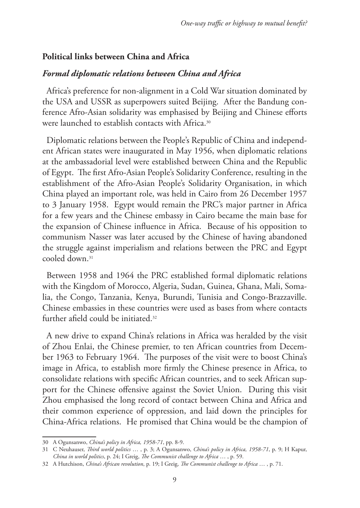### **Political links between China and Africa**

### *Formal diplomatic relations between China and Africa*

Africa's preference for non-alignment in a Cold War situation dominated by the USA and USSR as superpowers suited Beijing. After the Bandung conference Afro-Asian solidarity was emphasised by Beijing and Chinese efforts were launched to establish contacts with Africa.30

Diplomatic relations between the People's Republic of China and independent African states were inaugurated in May 1956, when diplomatic relations at the ambassadorial level were established between China and the Republic of Egypt. The first Afro-Asian People's Solidarity Conference, resulting in the establishment of the Afro-Asian People's Solidarity Organisation, in which China played an important role, was held in Cairo from 26 December 1957 to 3 January 1958. Egypt would remain the PRC's major partner in Africa for a few years and the Chinese embassy in Cairo became the main base for the expansion of Chinese influence in Africa. Because of his opposition to communism Nasser was later accused by the Chinese of having abandoned the struggle against imperialism and relations between the PRC and Egypt cooled down.31

Between 1958 and 1964 the PRC established formal diplomatic relations with the Kingdom of Morocco, Algeria, Sudan, Guinea, Ghana, Mali, Somalia, the Congo, Tanzania, Kenya, Burundi, Tunisia and Congo-Brazzaville. Chinese embassies in these countries were used as bases from where contacts further afield could be initiated.32

A new drive to expand China's relations in Africa was heralded by the visit of Zhou Enlai, the Chinese premier, to ten African countries from December 1963 to February 1964. The purposes of the visit were to boost China's image in Africa, to establish more firmly the Chinese presence in Africa, to consolidate relations with specific African countries, and to seek African support for the Chinese offensive against the Soviet Union. During this visit Zhou emphasised the long record of contact between China and Africa and their common experience of oppression, and laid down the principles for China-Africa relations. He promised that China would be the champion of

<sup>30</sup> A Ogunsanwo, *China's policy in Africa, 1958-71*, pp. 8-9.

<sup>31</sup> C Neuhauser, *Third world politics* … , p. 3; A Ogunsanwo, *China's policy in Africa, 1958-71*, p. 9; H Kapur, *China in world politics*, p. 24; I Greig, *The Communist challenge to Africa* … , p. 59.

<sup>32</sup> A Hutchison, *China's African revolution*, p. 19; I Greig, *The Communist challenge to Africa* … , p. 71.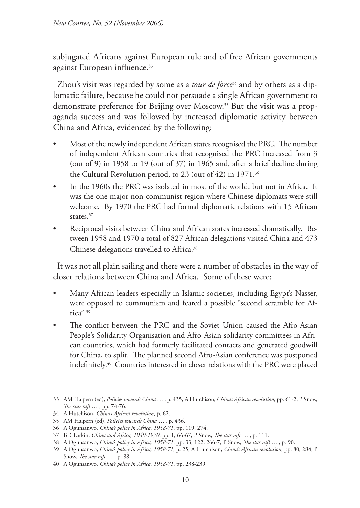subjugated Africans against European rule and of free African governments against European influence.<sup>33</sup>

Zhou's visit was regarded by some as a *tour de force*34 and by others as a diplomatic failure, because he could not persuade a single African government to demonstrate preference for Beijing over Moscow.35 But the visit was a propaganda success and was followed by increased diplomatic activity between China and Africa, evidenced by the following:

- Most of the newly independent African states recognised the PRC. The number of independent African countries that recognised the PRC increased from 3 (out of 9) in 1958 to 19 (out of 37) in 1965 and, after a brief decline during the Cultural Revolution period, to 23 (out of 42) in 1971.<sup>36</sup>
- In the 1960s the PRC was isolated in most of the world, but not in Africa. It was the one major non-communist region where Chinese diplomats were still welcome. By 1970 the PRC had formal diplomatic relations with 15 African states.<sup>37</sup>
- Reciprocal visits between China and African states increased dramatically. Between 1958 and 1970 a total of 827 African delegations visited China and 473 Chinese delegations travelled to Africa.<sup>38</sup>

It was not all plain sailing and there were a number of obstacles in the way of closer relations between China and Africa. Some of these were:

- Many African leaders especially in Islamic societies, including Egypt's Nasser, were opposed to communism and feared a possible "second scramble for Africa".39
- The conflict between the PRC and the Soviet Union caused the Afro-Asian People's Solidarity Organisation and Afro-Asian solidarity committees in African countries, which had formerly facilitated contacts and generated goodwill for China, to split. The planned second Afro-Asian conference was postponed indefinitely.40 Countries interested in closer relations with the PRC were placed

<sup>33</sup> AM Halpern (ed), *Policies towards China* … , p. 435; A Hutchison, *China's African revolution*, pp. 61-2; P Snow, *The star raft* … , pp. 74-76.

<sup>34</sup> A Hutchison, *China's African revolution*, p. 62.

<sup>35</sup> AM Halpern (ed), *Policies towards China* … , p. 436.

<sup>36</sup> A Ogunsanwo, *China's policy in Africa, 1958-71*, pp. 119, 274.

<sup>37</sup> BD Larkin, *China and Africa, 1949-1970*, pp. 1, 66-67; P Snow, *The star raft* … , p. 111.

<sup>38</sup> A Ogunsanwo, *China's policy in Africa, 1958-71*, pp. 33, 122, 266-7; P Snow, *The star raft* … , p. 90.

<sup>39</sup> A Ogunsanwo, *China's policy in Africa, 1958-71*, p. 25; A Hutchison, *China's African revolution*, pp. 80, 284; P Snow, *The star raft* … , p. 88.

<sup>40</sup> A Ogunsanwo, *China's policy in Africa, 1958-71*, pp. 238-239.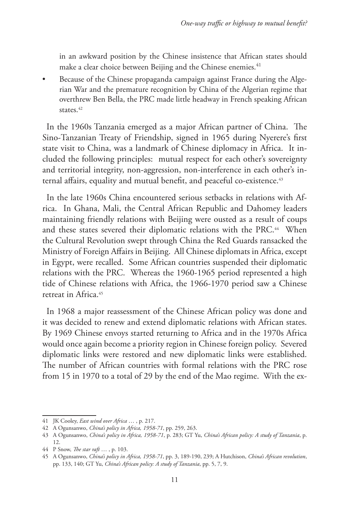in an awkward position by the Chinese insistence that African states should make a clear choice between Beijing and the Chinese enemies.<sup>41</sup>

• Because of the Chinese propaganda campaign against France during the Algerian War and the premature recognition by China of the Algerian regime that overthrew Ben Bella, the PRC made little headway in French speaking African states.<sup>42</sup>

In the 1960s Tanzania emerged as a major African partner of China. The Sino-Tanzanian Treaty of Friendship, signed in 1965 during Nyerere's first state visit to China, was a landmark of Chinese diplomacy in Africa. It included the following principles: mutual respect for each other's sovereignty and territorial integrity, non-aggression, non-interference in each other's internal affairs, equality and mutual benefit, and peaceful co-existence.<sup>43</sup>

In the late 1960s China encountered serious setbacks in relations with Africa. In Ghana, Mali, the Central African Republic and Dahomey leaders maintaining friendly relations with Beijing were ousted as a result of coups and these states severed their diplomatic relations with the PRC.<sup>44</sup> When the Cultural Revolution swept through China the Red Guards ransacked the Ministry of Foreign Affairs in Beijing. All Chinese diplomats in Africa, except in Egypt, were recalled. Some African countries suspended their diplomatic relations with the PRC. Whereas the 1960-1965 period represented a high tide of Chinese relations with Africa, the 1966-1970 period saw a Chinese retreat in Africa.45

In 1968 a major reassessment of the Chinese African policy was done and it was decided to renew and extend diplomatic relations with African states. By 1969 Chinese envoys started returning to Africa and in the 1970s Africa would once again become a priority region in Chinese foreign policy. Severed diplomatic links were restored and new diplomatic links were established. The number of African countries with formal relations with the PRC rose from 15 in 1970 to a total of 29 by the end of the Mao regime. With the ex-

<sup>41</sup> JK Cooley, *East wind over Africa* … , p. 217.

<sup>42</sup> A Ogunsanwo, *China's policy in Africa, 1958-71*, pp. 259, 263.

<sup>43</sup> A Ogunsanwo, *China's policy in Africa, 1958-71*, p. 283; GT Yu, *China's African policy: A study of Tanzania*, p. 12.

<sup>44</sup> P Snow, *The star raft* … , p. 103.

<sup>45</sup> A Ogunsanwo, *China's policy in Africa, 1958-71*, pp. 3, 189-190, 239; A Hutchison, *China's African revolution*, pp. 133, 140; GT Yu, *China's African policy: A study of Tanzania*, pp. 5, 7, 9.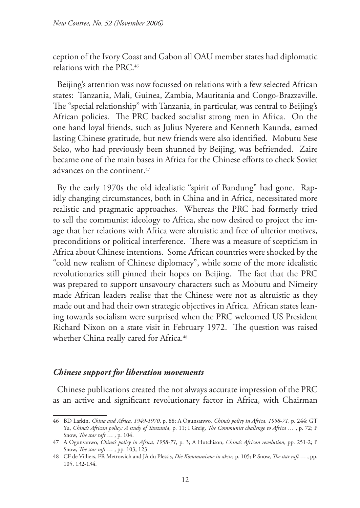ception of the Ivory Coast and Gabon all OAU member states had diplomatic relations with the PRC.46

Beijing's attention was now focussed on relations with a few selected African states: Tanzania, Mali, Guinea, Zambia, Mauritania and Congo-Brazzaville. The "special relationship" with Tanzania, in particular, was central to Beijing's African policies. The PRC backed socialist strong men in Africa. On the one hand loyal friends, such as Julius Nyerere and Kenneth Kaunda, earned lasting Chinese gratitude, but new friends were also identified. Mobutu Sese Seko, who had previously been shunned by Beijing, was befriended. Zaire became one of the main bases in Africa for the Chinese efforts to check Soviet advances on the continent.<sup>47</sup>

By the early 1970s the old idealistic "spirit of Bandung" had gone. Rapidly changing circumstances, both in China and in Africa, necessitated more realistic and pragmatic approaches. Whereas the PRC had formerly tried to sell the communist ideology to Africa, she now desired to project the image that her relations with Africa were altruistic and free of ulterior motives, preconditions or political interference. There was a measure of scepticism in Africa about Chinese intentions. Some African countries were shocked by the "cold new realism of Chinese diplomacy", while some of the more idealistic revolutionaries still pinned their hopes on Beijing. The fact that the PRC was prepared to support unsavoury characters such as Mobutu and Nimeiry made African leaders realise that the Chinese were not as altruistic as they made out and had their own strategic objectives in Africa. African states leaning towards socialism were surprised when the PRC welcomed US President Richard Nixon on a state visit in February 1972. The question was raised whether China really cared for Africa.<sup>48</sup>

#### *Chinese support for liberation movements*

Chinese publications created the not always accurate impression of the PRC as an active and significant revolutionary factor in Africa, with Chairman

<sup>46</sup> BD Larkin, *China and Africa, 1949-1970*, p. 88; A Ogunsanwo, *China's policy in Africa, 1958-71*, p. 244; GT Yu, *China's African policy: A study of Tanzania*, p. 11; I Greig, *The Communist challenge to Africa* … , p. 72; P Snow, *The star raft* … , p. 104.

<sup>47</sup> A Ogunsanwo, *China's policy in Africa, 1958-71*, p. 3; A Hutchison, *China's African revolution*, pp. 251-2; P Snow, *The star raft* … , pp. 103, 123.

<sup>48</sup> CF de Villiers, FR Metrowich and JA du Plessis, *Die Kommunisme in aksie,* p. 105; P Snow, *The star raft* … , pp. 105, 132-134.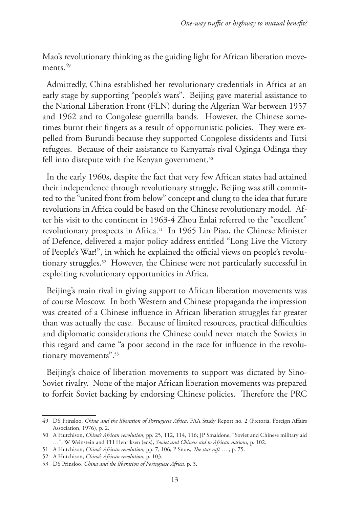Mao's revolutionary thinking as the guiding light for African liberation movements<sup>49</sup>

Admittedly, China established her revolutionary credentials in Africa at an early stage by supporting "people's wars". Beijing gave material assistance to the National Liberation Front (FLN) during the Algerian War between 1957 and 1962 and to Congolese guerrilla bands. However, the Chinese sometimes burnt their fingers as a result of opportunistic policies. They were expelled from Burundi because they supported Congolese dissidents and Tutsi refugees. Because of their assistance to Kenyatta's rival Oginga Odinga they fell into disrepute with the Kenyan government.<sup>50</sup>

In the early 1960s, despite the fact that very few African states had attained their independence through revolutionary struggle, Beijing was still committed to the "united front from below" concept and clung to the idea that future revolutions in Africa could be based on the Chinese revolutionary model. After his visit to the continent in 1963-4 Zhou Enlai referred to the "excellent" revolutionary prospects in Africa.51 In 1965 Lin Piao, the Chinese Minister of Defence, delivered a major policy address entitled "Long Live the Victory of People's War!", in which he explained the official views on people's revolutionary struggles.52 However, the Chinese were not particularly successful in exploiting revolutionary opportunities in Africa.

Beijing's main rival in giving support to African liberation movements was of course Moscow. In both Western and Chinese propaganda the impression was created of a Chinese influence in African liberation struggles far greater than was actually the case. Because of limited resources, practical difficulties and diplomatic considerations the Chinese could never match the Soviets in this regard and came "a poor second in the race for influence in the revolutionary movements".<sup>53</sup>

Beijing's choice of liberation movements to support was dictated by Sino-Soviet rivalry. None of the major African liberation movements was prepared to forfeit Soviet backing by endorsing Chinese policies. Therefore the PRC

<sup>49</sup> DS Prinsloo, *China and the liberation of Portuguese Africa*, FAA Study Report no. 2 (Pretoria, Foreign Affairs Association, 1976), p. 2.

<sup>50</sup> A Hutchison, *China's African revolution*, pp. 25, 112, 114, 116; JP Smaldone, "Soviet and Chinese military aid …", W Weinstein and TH Henriksen (eds), *Soviet and Chinese aid to African nations*, p. 102.

<sup>51</sup> A Hutchison, *China's African revolution*, pp. 7, 106; P Snow, *The star raft* … , p. 75.

<sup>52</sup> A Hutchison, *China's African revolution*, p. 103.

<sup>53</sup> DS Prinsloo, *China and the liberation of Portuguese Africa*, p. 3.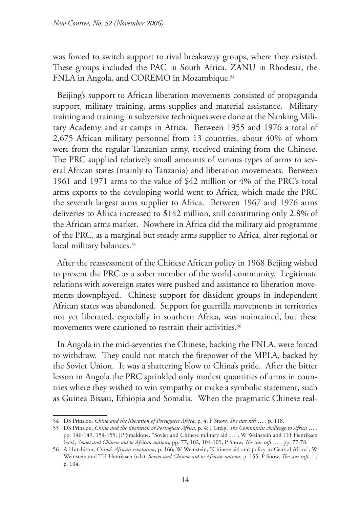was forced to switch support to rival breakaway groups, where they existed. These groups included the PAC in South Africa, ZANU in Rhodesia, the FNLA in Angola, and COREMO in Mozambique.<sup>54</sup>

Beijing's support to African liberation movements consisted of propaganda support, military training, arms supplies and material assistance. Military training and training in subversive techniques were done at the Nanking Military Academy and at camps in Africa. Between 1955 and 1976 a total of 2,675 African military personnel from 13 countries, about 40% of whom were from the regular Tanzanian army, received training from the Chinese. The PRC supplied relatively small amounts of various types of arms to several African states (mainly to Tanzania) and liberation movements. Between 1961 and 1971 arms to the value of \$42 million or 4% of the PRC's total arms exports to the developing world went to Africa, which made the PRC the seventh largest arms supplier to Africa. Between 1967 and 1976 arms deliveries to Africa increased to \$142 million, still constituting only 2.8% of the African arms market. Nowhere in Africa did the military aid programme of the PRC, as a marginal but steady arms supplier to Africa, alter regional or local military balances.<sup>55</sup>

After the reassessment of the Chinese African policy in 1968 Beijing wished to present the PRC as a sober member of the world community. Legitimate relations with sovereign states were pushed and assistance to liberation movements downplayed. Chinese support for dissident groups in independent African states was abandoned. Support for guerrilla movements in territories not yet liberated, especially in southern Africa, was maintained, but these movements were cautioned to restrain their activities.<sup>56</sup>

In Angola in the mid-seventies the Chinese, backing the FNLA, were forced to withdraw. They could not match the firepower of the MPLA, backed by the Soviet Union. It was a shattering blow to China's pride. After the bitter lesson in Angola the PRC sprinkled only modest quantities of arms in countries where they wished to win sympathy or make a symbolic statement, such as Guinea Bissau, Ethiopia and Somalia. When the pragmatic Chinese real-

<sup>54</sup> DS Prinsloo, *China and the liberation of Portuguese Africa*, p. 4; P Snow, *The star raft* … , p. 118.

<sup>55</sup> DS Prinsloo, *China and the liberation of Portuguese Africa*, p. 4; I Greig, *The Communist challenge to Africa* … , pp. 146-149, 154-155; JP Smaldone, "Soviet and Chinese military aid …", W Weinstein and TH Henriksen (eds), *Soviet and Chinese aid to African nations*, pp. 77, 102, 104-109; P Snow, *The star raft* … , pp. 77-78.

<sup>56</sup> A Hutchison, *China's African revolution*, p. 166; W Weinstein, "Chinese aid and policy in Central Africa", W Weinstein and TH Henriksen (eds), *Soviet and Chinese aid to African nations*, p. 155; P Snow, *The star raft* …, p. 104.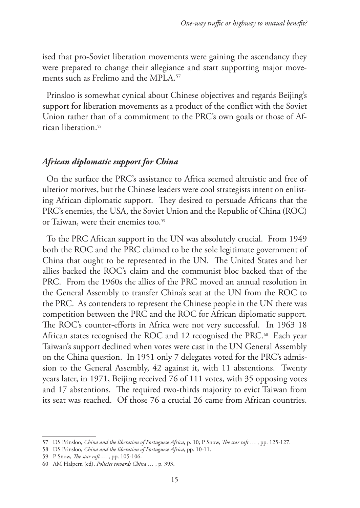ised that pro-Soviet liberation movements were gaining the ascendancy they were prepared to change their allegiance and start supporting major movements such as Frelimo and the MPLA.<sup>57</sup>

Prinsloo is somewhat cynical about Chinese objectives and regards Beijing's support for liberation movements as a product of the conflict with the Soviet Union rather than of a commitment to the PRC's own goals or those of African liberation.58

### *African diplomatic support for China*

On the surface the PRC's assistance to Africa seemed altruistic and free of ulterior motives, but the Chinese leaders were cool strategists intent on enlisting African diplomatic support. They desired to persuade Africans that the PRC's enemies, the USA, the Soviet Union and the Republic of China (ROC) or Taiwan, were their enemies too.<sup>59</sup>

To the PRC African support in the UN was absolutely crucial. From 1949 both the ROC and the PRC claimed to be the sole legitimate government of China that ought to be represented in the UN. The United States and her allies backed the ROC's claim and the communist bloc backed that of the PRC. From the 1960s the allies of the PRC moved an annual resolution in the General Assembly to transfer China's seat at the UN from the ROC to the PRC. As contenders to represent the Chinese people in the UN there was competition between the PRC and the ROC for African diplomatic support. The ROC's counter-efforts in Africa were not very successful. In 1963 18 African states recognised the ROC and 12 recognised the PRC.<sup>60</sup> Each year Taiwan's support declined when votes were cast in the UN General Assembly on the China question. In 1951 only 7 delegates voted for the PRC's admission to the General Assembly, 42 against it, with 11 abstentions. Twenty years later, in 1971, Beijing received 76 of 111 votes, with 35 opposing votes and 17 abstentions. The required two-thirds majority to evict Taiwan from its seat was reached. Of those 76 a crucial 26 came from African countries.

<sup>57</sup> DS Prinsloo, *China and the liberation of Portuguese Africa*, p. 10; P Snow, *The star raft* … , pp. 125-127.

<sup>58</sup> DS Prinsloo, *China and the liberation of Portuguese Africa*, pp. 10-11.

<sup>59</sup> P Snow, *The star raft* … , pp. 105-106.

<sup>60</sup> AM Halpern (ed), *Policies towards China* … , p. 393.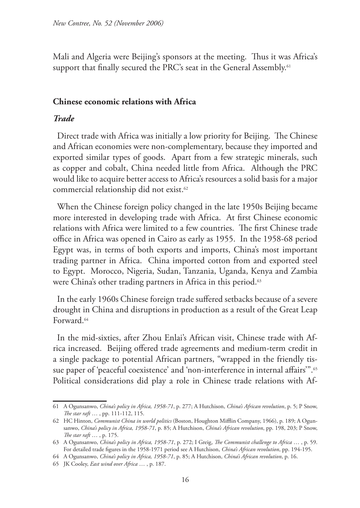Mali and Algeria were Beijing's sponsors at the meeting. Thus it was Africa's support that finally secured the PRC's seat in the General Assembly.<sup>61</sup>

#### **Chinese economic relations with Africa**

#### *Trade*

Direct trade with Africa was initially a low priority for Beijing. The Chinese and African economies were non-complementary, because they imported and exported similar types of goods. Apart from a few strategic minerals, such as copper and cobalt, China needed little from Africa. Although the PRC would like to acquire better access to Africa's resources a solid basis for a major commercial relationship did not exist.62

When the Chinese foreign policy changed in the late 1950s Beijing became more interested in developing trade with Africa. At first Chinese economic relations with Africa were limited to a few countries. The first Chinese trade office in Africa was opened in Cairo as early as 1955. In the 1958-68 period Egypt was, in terms of both exports and imports, China's most important trading partner in Africa. China imported cotton from and exported steel to Egypt. Morocco, Nigeria, Sudan, Tanzania, Uganda, Kenya and Zambia were China's other trading partners in Africa in this period.<sup>63</sup>

In the early 1960s Chinese foreign trade suffered setbacks because of a severe drought in China and disruptions in production as a result of the Great Leap Forward.64

In the mid-sixties, after Zhou Enlai's African visit, Chinese trade with Africa increased. Beijing offered trade agreements and medium-term credit in a single package to potential African partners, "wrapped in the friendly tissue paper of 'peaceful coexistence' and 'non-interference in internal affairs'".<sup>65</sup> Political considerations did play a role in Chinese trade relations with Af-

<sup>61</sup> A Ogunsanwo, *China's policy in Africa, 1958-71*, p. 277; A Hutchison, *China's African revolution*, p. 5; P Snow, *The star raft* … , pp. 111-112, 115.

<sup>62</sup> HC Hinton, *Communist China in world politics* (Boston, Houghton Mifflin Company, 1966), p. 189; A Ogunsanwo, *China's policy in Africa, 1958-71*, p. 85; A Hutchison, *China's African revolution*, pp. 198, 203; P Snow, *The star raft* … , p. 175.

<sup>63</sup> A Ogunsanwo, *China's policy in Africa, 1958-71*, p. 272; I Greig, *The Communist challenge to Africa* … , p. 59. For detailed trade figures in the 1958-1971 period see A Hutchison, *China's African revolution*, pp. 194-195.

<sup>64</sup> A Ogunsanwo, *China's policy in Africa, 1958-71*, p. 85; A Hutchison, *China's African revolution*, p. 16.

<sup>65</sup> JK Cooley, *East wind over Africa* … , p. 187.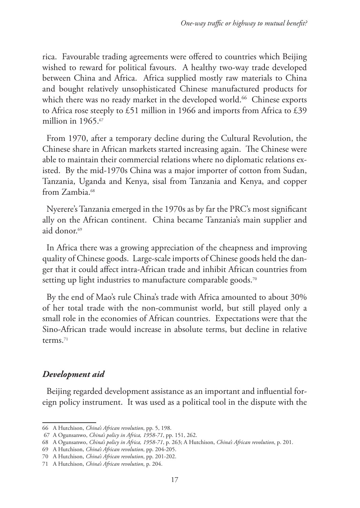rica. Favourable trading agreements were offered to countries which Beijing wished to reward for political favours. A healthy two-way trade developed between China and Africa. Africa supplied mostly raw materials to China and bought relatively unsophisticated Chinese manufactured products for which there was no ready market in the developed world.<sup>66</sup> Chinese exports to Africa rose steeply to £51 million in 1966 and imports from Africa to £39 million in 1965.<sup>67</sup>

From 1970, after a temporary decline during the Cultural Revolution, the Chinese share in African markets started increasing again. The Chinese were able to maintain their commercial relations where no diplomatic relations existed. By the mid-1970s China was a major importer of cotton from Sudan, Tanzania, Uganda and Kenya, sisal from Tanzania and Kenya, and copper from Zambia.68

Nyerere's Tanzania emerged in the 1970s as by far the PRC's most significant ally on the African continent. China became Tanzania's main supplier and aid donor.69

In Africa there was a growing appreciation of the cheapness and improving quality of Chinese goods. Large-scale imports of Chinese goods held the danger that it could affect intra-African trade and inhibit African countries from setting up light industries to manufacture comparable goods.<sup>70</sup>

By the end of Mao's rule China's trade with Africa amounted to about 30% of her total trade with the non-communist world, but still played only a small role in the economies of African countries. Expectations were that the Sino-African trade would increase in absolute terms, but decline in relative terms.71

## *Development aid*

Beijing regarded development assistance as an important and influential foreign policy instrument. It was used as a political tool in the dispute with the

<sup>66</sup> A Hutchison, *China's African revolution*, pp. 5, 198.

 <sup>67</sup> A Ogunsanwo, *China's policy in Africa, 1958-71*, pp. 151, 262.

<sup>68</sup> A Ogunsanwo, *China's policy in Africa, 1958-71*, p. 263; A Hutchison, *China's African revolution*, p. 201.

<sup>69</sup> A Hutchison, *China's African revolution*, pp. 204-205.

<sup>70</sup> A Hutchison, *China's African revolution*, pp. 201-202.

<sup>71</sup> A Hutchison, *China's African revolution*, p. 204.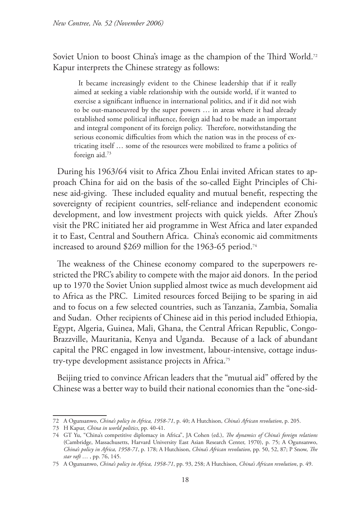Soviet Union to boost China's image as the champion of the Third World.<sup>72</sup> Kapur interprets the Chinese strategy as follows:

It became increasingly evident to the Chinese leadership that if it really aimed at seeking a viable relationship with the outside world, if it wanted to exercise a significant influence in international politics, and if it did not wish to be out-manoeuvred by the super powers … in areas where it had already established some political influence, foreign aid had to be made an important and integral component of its foreign policy. Therefore, notwithstanding the serious economic difficulties from which the nation was in the process of extricating itself … some of the resources were mobilized to frame a politics of foreign aid.73

During his 1963/64 visit to Africa Zhou Enlai invited African states to approach China for aid on the basis of the so-called Eight Principles of Chinese aid-giving. These included equality and mutual benefit, respecting the sovereignty of recipient countries, self-reliance and independent economic development, and low investment projects with quick yields. After Zhou's visit the PRC initiated her aid programme in West Africa and later expanded it to East, Central and Southern Africa. China's economic aid commitments increased to around \$269 million for the 1963-65 period.<sup>74</sup>

The weakness of the Chinese economy compared to the superpowers restricted the PRC's ability to compete with the major aid donors. In the period up to 1970 the Soviet Union supplied almost twice as much development aid to Africa as the PRC. Limited resources forced Beijing to be sparing in aid and to focus on a few selected countries, such as Tanzania, Zambia, Somalia and Sudan. Other recipients of Chinese aid in this period included Ethiopia, Egypt, Algeria, Guinea, Mali, Ghana, the Central African Republic, Congo-Brazzville, Mauritania, Kenya and Uganda. Because of a lack of abundant capital the PRC engaged in low investment, labour-intensive, cottage industry-type development assistance projects in Africa.75

Beijing tried to convince African leaders that the "mutual aid" offered by the Chinese was a better way to build their national economies than the "one-sid-

<sup>72</sup> A Ogunsanwo, *China's policy in Africa, 1958-71*, p. 40; A Hutchison, *China's African revolution*, p. 205.

<sup>73</sup> H Kapur, *China in world politics*, pp. 40-41.

<sup>74</sup> GT Yu, "China's competitive diplomacy in Africa", JA Cohen (ed.), *The dynamics of China's foreign relations* (Cambridge, Massachusetts, Harvard University East Asian Research Center, 1970), p. 75; A Ogunsanwo, *China's policy in Africa, 1958-71*, p. 178; A Hutchison, *China's African revolution*, pp. 50, 52, 87; P Snow, *The star raft* … , pp. 76, 145.

<sup>75</sup> A Ogunsanwo, *China's policy in Africa, 1958-71*, pp. 93, 258; A Hutchison, *China's African revolution*, p. 49.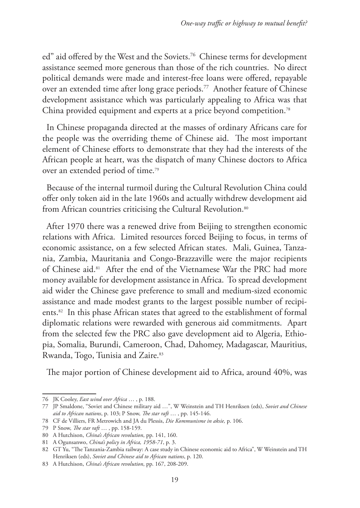ed" aid offered by the West and the Soviets.<sup>76</sup> Chinese terms for development assistance seemed more generous than those of the rich countries. No direct political demands were made and interest-free loans were offered, repayable over an extended time after long grace periods.<sup>77</sup> Another feature of Chinese development assistance which was particularly appealing to Africa was that China provided equipment and experts at a price beyond competition.<sup>78</sup>

In Chinese propaganda directed at the masses of ordinary Africans care for the people was the overriding theme of Chinese aid. The most important element of Chinese efforts to demonstrate that they had the interests of the African people at heart, was the dispatch of many Chinese doctors to Africa over an extended period of time.79

Because of the internal turmoil during the Cultural Revolution China could offer only token aid in the late 1960s and actually withdrew development aid from African countries criticising the Cultural Revolution.<sup>80</sup>

After 1970 there was a renewed drive from Beijing to strengthen economic relations with Africa. Limited resources forced Beijing to focus, in terms of economic assistance, on a few selected African states. Mali, Guinea, Tanzania, Zambia, Mauritania and Congo-Brazzaville were the major recipients of Chinese aid.81 After the end of the Vietnamese War the PRC had more money available for development assistance in Africa. To spread development aid wider the Chinese gave preference to small and medium-sized economic assistance and made modest grants to the largest possible number of recipients.82 In this phase African states that agreed to the establishment of formal diplomatic relations were rewarded with generous aid commitments. Apart from the selected few the PRC also gave development aid to Algeria, Ethiopia, Somalia, Burundi, Cameroon, Chad, Dahomey, Madagascar, Mauritius, Rwanda, Togo, Tunisia and Zaire.<sup>83</sup>

The major portion of Chinese development aid to Africa, around 40%, was

<sup>76</sup> JK Cooley, *East wind over Africa* … , p. 188.

<sup>77</sup> JP Smaldone, "Soviet and Chinese military aid …", W Weinstein and TH Henriksen (eds), *Soviet and Chinese aid to African nations*, p. 103; P Snow, *The star raft* … , pp. 145-146.

<sup>78</sup> CF de Villiers, FR Metrowich and JA du Plessis, *Die Kommunisme in aksie,* p. 106.

<sup>79</sup> P Snow, *The star raft* … , pp. 158-159.

<sup>80</sup> A Hutchison, *China's African revolution*, pp. 141, 160.

<sup>81</sup> A Ogunsanwo, *China's policy in Africa, 1958-71*, p. 3.

<sup>82</sup> GT Yu, "The Tanzania-Zambia railway: A case study in Chinese economic aid to Africa", W Weinstein and TH Henriksen (eds), *Soviet and Chinese aid to African nations*, p. 120.

<sup>83</sup> A Hutchison, *China's African revolution*, pp. 167, 208-209.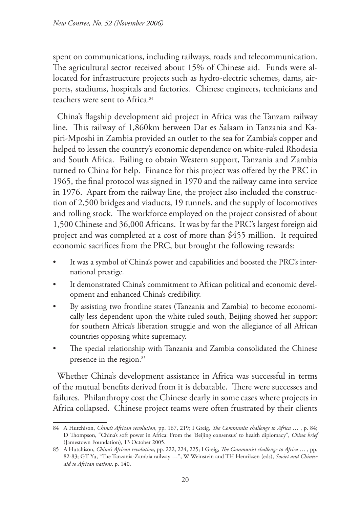spent on communications, including railways, roads and telecommunication. The agricultural sector received about 15% of Chinese aid. Funds were allocated for infrastructure projects such as hydro-electric schemes, dams, airports, stadiums, hospitals and factories. Chinese engineers, technicians and teachers were sent to Africa.<sup>84</sup>

China's flagship development aid project in Africa was the Tanzam railway line. This railway of 1,860km between Dar es Salaam in Tanzania and Kapiri-Mposhi in Zambia provided an outlet to the sea for Zambia's copper and helped to lessen the country's economic dependence on white-ruled Rhodesia and South Africa. Failing to obtain Western support, Tanzania and Zambia turned to China for help. Finance for this project was offered by the PRC in 1965, the final protocol was signed in 1970 and the railway came into service in 1976. Apart from the railway line, the project also included the construction of 2,500 bridges and viaducts, 19 tunnels, and the supply of locomotives and rolling stock. The workforce employed on the project consisted of about 1,500 Chinese and 36,000 Africans. It was by far the PRC's largest foreign aid project and was completed at a cost of more than \$455 million. It required economic sacrifices from the PRC, but brought the following rewards:

- It was a symbol of China's power and capabilities and boosted the PRC's international prestige.
- It demonstrated China's commitment to African political and economic development and enhanced China's credibility.
- By assisting two frontline states (Tanzania and Zambia) to become economically less dependent upon the white-ruled south, Beijing showed her support for southern Africa's liberation struggle and won the allegiance of all African countries opposing white supremacy.
- The special relationship with Tanzania and Zambia consolidated the Chinese presence in the region.85

Whether China's development assistance in Africa was successful in terms of the mutual benefits derived from it is debatable. There were successes and failures. Philanthropy cost the Chinese dearly in some cases where projects in Africa collapsed. Chinese project teams were often frustrated by their clients

<sup>84</sup> A Hutchison, *China's African revolution*, pp. 167, 219; I Greig, *The Communist challenge to Africa* … , p. 84; D Thompson, "China's soft power in Africa: From the 'Beijing consensus' to health diplomacy", *China brief* (Jamestown Foundation), 13 October 2005.

<sup>85</sup> A Hutchison, *China's African revolution*, pp. 222, 224, 225; I Greig, *The Communist challenge to Africa* … , pp. 82-83; GT Yu, "The Tanzania-Zambia railway …", W Weinstein and TH Henriksen (eds), *Soviet and Chinese aid to African nations*, p. 140.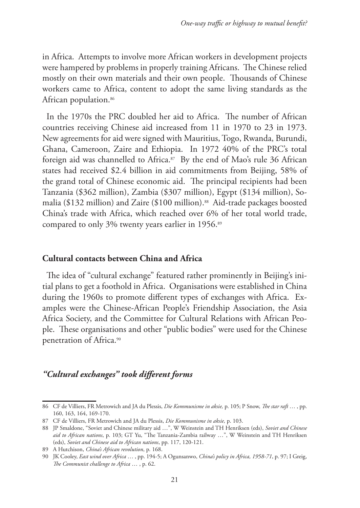in Africa. Attempts to involve more African workers in development projects were hampered by problems in properly training Africans. The Chinese relied mostly on their own materials and their own people. Thousands of Chinese workers came to Africa, content to adopt the same living standards as the African population.<sup>86</sup>

In the 1970s the PRC doubled her aid to Africa. The number of African countries receiving Chinese aid increased from 11 in 1970 to 23 in 1973. New agreements for aid were signed with Mauritius, Togo, Rwanda, Burundi, Ghana, Cameroon, Zaire and Ethiopia. In 1972 40% of the PRC's total foreign aid was channelled to Africa.<sup>87</sup> By the end of Mao's rule 36 African states had received \$2.4 billion in aid commitments from Beijing, 58% of the grand total of Chinese economic aid. The principal recipients had been Tanzania (\$362 million), Zambia (\$307 million), Egypt (\$134 million), Somalia (\$132 million) and Zaire (\$100 million).<sup>88</sup> Aid-trade packages boosted China's trade with Africa, which reached over 6% of her total world trade, compared to only 3% twenty years earlier in 1956.<sup>89</sup>

#### **Cultural contacts between China and Africa**

The idea of "cultural exchange" featured rather prominently in Beijing's initial plans to get a foothold in Africa. Organisations were established in China during the 1960s to promote different types of exchanges with Africa. Examples were the Chinese-African People's Friendship Association, the Asia Africa Society, and the Committee for Cultural Relations with African People. These organisations and other "public bodies" were used for the Chinese penetration of Africa.90

### *"Cultural exchanges" took different forms*

<sup>86</sup> CF de Villiers, FR Metrowich and JA du Plessis, *Die Kommunisme in aksie,* p. 105; P Snow, *The star raft* … , pp. 160, 163, 164, 169-170.

<sup>87</sup> CF de Villiers, FR Metrowich and JA du Plessis, *Die Kommunisme in aksie,* p. 103.

<sup>88</sup> JP Smaldone, "Soviet and Chinese military aid …", W Weinstein and TH Henriksen (eds), *Soviet and Chinese aid to African nations*, p. 103; GT Yu, "The Tanzania-Zambia railway …", W Weinstein and TH Henriksen (eds), *Soviet and Chinese aid to African nations*, pp. 117, 120-121.

<sup>89</sup> A Hutchison, *China's African revolution*, p. 168.

<sup>90</sup> JK Cooley, *East wind over Africa* … , pp. 194-5; A Ogunsanwo, *China's policy in Africa, 1958-71*, p. 97; I Greig, *The Communist challenge to Africa* … , p. 62.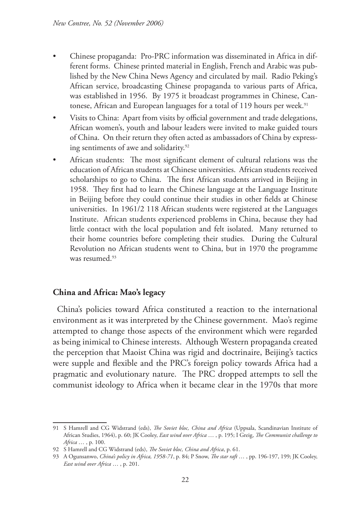- Chinese propaganda: Pro-PRC information was disseminated in Africa in different forms. Chinese printed material in English, French and Arabic was published by the New China News Agency and circulated by mail. Radio Peking's African service, broadcasting Chinese propaganda to various parts of Africa, was established in 1956. By 1975 it broadcast programmes in Chinese, Cantonese, African and European languages for a total of 119 hours per week.<sup>91</sup>
- Visits to China: Apart from visits by official government and trade delegations, African women's, youth and labour leaders were invited to make guided tours of China. On their return they often acted as ambassadors of China by expressing sentiments of awe and solidarity.92
- African students: The most significant element of cultural relations was the education of African students at Chinese universities. African students received scholarships to go to China. The first African students arrived in Beijing in 1958. They first had to learn the Chinese language at the Language Institute in Beijing before they could continue their studies in other fields at Chinese universities. In 1961/2 118 African students were registered at the Languages Institute. African students experienced problems in China, because they had little contact with the local population and felt isolated. Many returned to their home countries before completing their studies. During the Cultural Revolution no African students went to China, but in 1970 the programme was resumed.<sup>93</sup>

### **China and Africa: Mao's legacy**

China's policies toward Africa constituted a reaction to the international environment as it was interpreted by the Chinese government. Mao's regime attempted to change those aspects of the environment which were regarded as being inimical to Chinese interests. Although Western propaganda created the perception that Maoist China was rigid and doctrinaire, Beijing's tactics were supple and flexible and the PRC's foreign policy towards Africa had a pragmatic and evolutionary nature. The PRC dropped attempts to sell the communist ideology to Africa when it became clear in the 1970s that more

<sup>91</sup> S Hamrell and CG Widstrand (eds), *The Soviet bloc, China and Africa* (Uppsala, Scandinavian Institute of African Studies, 1964), p. 60; JK Cooley, *East wind over Africa* … , p. 195; I Greig, *The Communist challenge to Africa* … , p. 100.

<sup>92</sup> S Hamrell and CG Widstrand (eds), *The Soviet bloc, China and Africa*, p. 61.

<sup>93</sup> A Ogunsanwo, *China's policy in Africa, 1958-71*, p. 84; P Snow, *The star raft* … , pp. 196-197, 199; JK Cooley, *East wind over Africa* … , p. 201.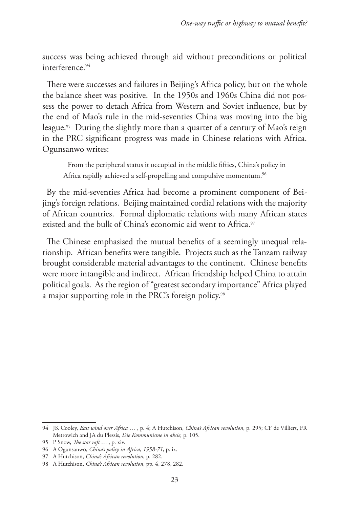success was being achieved through aid without preconditions or political interference<sup>94</sup>

There were successes and failures in Beijing's Africa policy, but on the whole the balance sheet was positive. In the 1950s and 1960s China did not possess the power to detach Africa from Western and Soviet influence, but by the end of Mao's rule in the mid-seventies China was moving into the big league.95 During the slightly more than a quarter of a century of Mao's reign in the PRC significant progress was made in Chinese relations with Africa. Ogunsanwo writes:

From the peripheral status it occupied in the middle fifties, China's policy in Africa rapidly achieved a self-propelling and compulsive momentum.<sup>96</sup>

By the mid-seventies Africa had become a prominent component of Beijing's foreign relations. Beijing maintained cordial relations with the majority of African countries. Formal diplomatic relations with many African states existed and the bulk of China's economic aid went to Africa.<sup>97</sup>

The Chinese emphasised the mutual benefits of a seemingly unequal relationship. African benefits were tangible. Projects such as the Tanzam railway brought considerable material advantages to the continent. Chinese benefits were more intangible and indirect. African friendship helped China to attain political goals. As the region of "greatest secondary importance" Africa played a major supporting role in the PRC's foreign policy.98

<sup>94</sup> JK Cooley, *East wind over Africa* … , p. 4; A Hutchison, *China's African revolution*, p. 295; CF de Villiers, FR Metrowich and JA du Plessis, *Die Kommunisme in aksie,* p. 105.

<sup>95</sup> P Snow, *The star raft* … , p. xiv.

<sup>96</sup> A Ogunsanwo, *China's policy in Africa, 1958-71*, p. ix.

<sup>97</sup> A Hutchison, *China's African revolution*, p. 282.

<sup>98</sup> A Hutchison, *China's African revolution*, pp. 4, 278, 282.